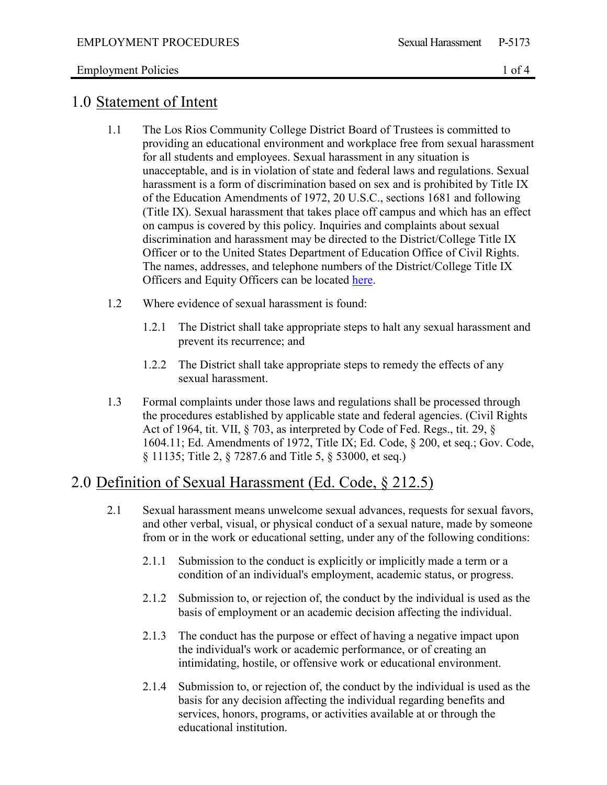### Employment Policies 1 of 4

### 1.0 Statement of Intent

- 1.1 The Los Rios Community College District Board of Trustees is committed to providing an educational environment and workplace free from sexual harassment for all students and employees. Sexual harassment in any situation is unacceptable, and is in violation of state and federal laws and regulations. Sexual harassment is a form of discrimination based on sex and is prohibited by Title IX of the Education Amendments of 1972, 20 U.S.C., sections 1681 and following (Title IX). Sexual harassment that takes place off campus and which has an effect on campus is covered by this policy. Inquiries and complaints about sexual discrimination and harassment may be directed to the District/College Title IX Officer or to the United States Department of Education Office of Civil Rights. The names, addresses, and telephone numbers of the District/College Title IX Officers and Equity Officers can be located [here.](https://losrios.edu/about-us/our-values/equity-and-diversity/compliance-officers)
- 1.2 Where evidence of sexual harassment is found:
	- 1.2.1 The District shall take appropriate steps to halt any sexual harassment and prevent its recurrence; and
	- 1.2.2 The District shall take appropriate steps to remedy the effects of any sexual harassment.
- 1.3 Formal complaints under those laws and regulations shall be processed through the procedures established by applicable state and federal agencies. (Civil Rights Act of 1964, tit. VII, § 703, as interpreted by Code of Fed. Regs., tit. 29, § 1604.11; Ed. Amendments of 1972, Title IX; Ed. Code, § 200, et seq.; Gov. Code, § 11135; Title 2, § 7287.6 and Title 5, § 53000, et seq.)

## 2.0 Definition of Sexual Harassment (Ed. Code, § 212.5)

- 2.1 Sexual harassment means unwelcome sexual advances, requests for sexual favors, and other verbal, visual, or physical conduct of a sexual nature, made by someone from or in the work or educational setting, under any of the following conditions:
	- 2.1.1 Submission to the conduct is explicitly or implicitly made a term or a condition of an individual's employment, academic status, or progress.
	- 2.1.2 Submission to, or rejection of, the conduct by the individual is used as the basis of employment or an academic decision affecting the individual.
	- 2.1.3 The conduct has the purpose or effect of having a negative impact upon the individual's work or academic performance, or of creating an intimidating, hostile, or offensive work or educational environment.
	- 2.1.4 Submission to, or rejection of, the conduct by the individual is used as the basis for any decision affecting the individual regarding benefits and services, honors, programs, or activities available at or through the educational institution.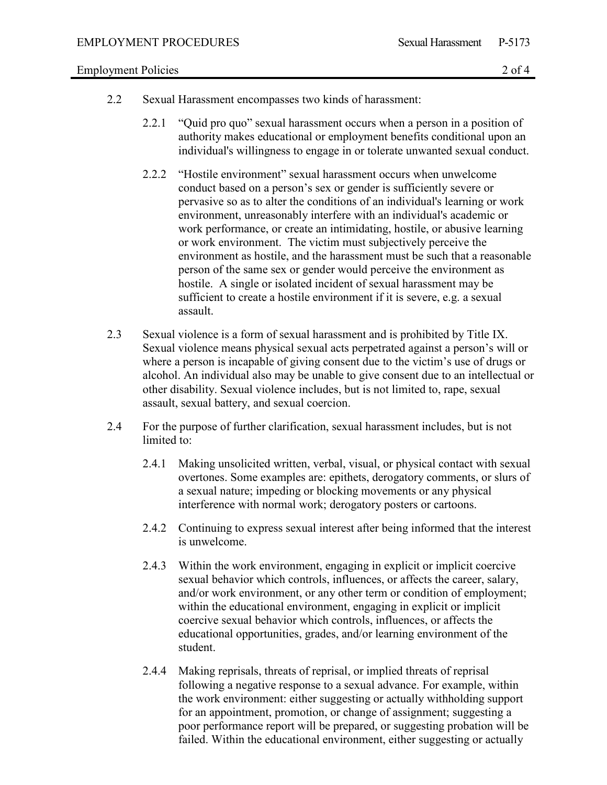#### Employment Policies 2 of 4

- 2.2 Sexual Harassment encompasses two kinds of harassment:
	- 2.2.1 "Quid pro quo" sexual harassment occurs when a person in a position of authority makes educational or employment benefits conditional upon an individual's willingness to engage in or tolerate unwanted sexual conduct.
	- 2.2.2 "Hostile environment" sexual harassment occurs when unwelcome conduct based on a person's sex or gender is sufficiently severe or pervasive so as to alter the conditions of an individual's learning or work environment, unreasonably interfere with an individual's academic or work performance, or create an intimidating, hostile, or abusive learning or work environment. The victim must subjectively perceive the environment as hostile, and the harassment must be such that a reasonable person of the same sex or gender would perceive the environment as hostile. A single or isolated incident of sexual harassment may be sufficient to create a hostile environment if it is severe, e.g. a sexual assault.
- 2.3 Sexual violence is a form of sexual harassment and is prohibited by Title IX. Sexual violence means physical sexual acts perpetrated against a person's will or where a person is incapable of giving consent due to the victim's use of drugs or alcohol. An individual also may be unable to give consent due to an intellectual or other disability. Sexual violence includes, but is not limited to, rape, sexual assault, sexual battery, and sexual coercion.
- 2.4 For the purpose of further clarification, sexual harassment includes, but is not limited to:
	- 2.4.1 Making unsolicited written, verbal, visual, or physical contact with sexual overtones. Some examples are: epithets, derogatory comments, or slurs of a sexual nature; impeding or blocking movements or any physical interference with normal work; derogatory posters or cartoons.
	- 2.4.2 Continuing to express sexual interest after being informed that the interest is unwelcome.
	- 2.4.3 Within the work environment, engaging in explicit or implicit coercive sexual behavior which controls, influences, or affects the career, salary, and/or work environment, or any other term or condition of employment; within the educational environment, engaging in explicit or implicit coercive sexual behavior which controls, influences, or affects the educational opportunities, grades, and/or learning environment of the student.
	- 2.4.4 Making reprisals, threats of reprisal, or implied threats of reprisal following a negative response to a sexual advance. For example, within the work environment: either suggesting or actually withholding support for an appointment, promotion, or change of assignment; suggesting a poor performance report will be prepared, or suggesting probation will be failed. Within the educational environment, either suggesting or actually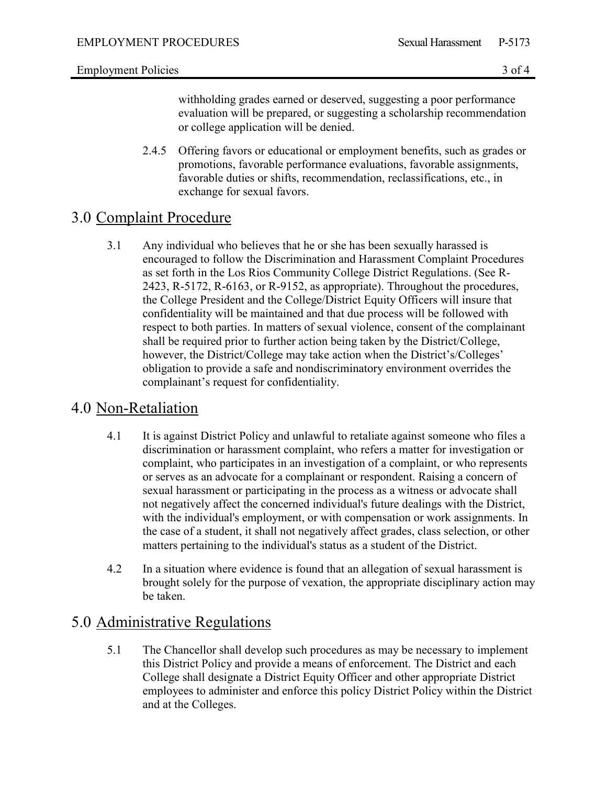### Employment Policies 3 of 4

withholding grades earned or deserved, suggesting a poor performance evaluation will be prepared, or suggesting a scholarship recommendation or college application will be denied.

2.4.5 Offering favors or educational or employment benefits, such as grades or promotions, favorable performance evaluations, favorable assignments, favorable duties or shifts, recommendation, reclassifications, etc., in exchange for sexual favors.

# 3.0 Complaint Procedure

3.1 Any individual who believes that he or she has been sexually harassed is encouraged to follow the Discrimination and Harassment Complaint Procedures as set forth in the Los Rios Community College District Regulations. (See R-2423, R-5172, R-6163, or R-9152, as appropriate). Throughout the procedures, the College President and the College/District Equity Officers will insure that confidentiality will be maintained and that due process will be followed with respect to both parties. In matters of sexual violence, consent of the complainant shall be required prior to further action being taken by the District/College, however, the District/College may take action when the District's/Colleges' obligation to provide a safe and nondiscriminatory environment overrides the complainant's request for confidentiality.

## 4.0 Non-Retaliation

- 4.1 It is against District Policy and unlawful to retaliate against someone who files a discrimination or harassment complaint, who refers a matter for investigation or complaint, who participates in an investigation of a complaint, or who represents or serves as an advocate for a complainant or respondent. Raising a concern of sexual harassment or participating in the process as a witness or advocate shall not negatively affect the concerned individual's future dealings with the District, with the individual's employment, or with compensation or work assignments. In the case of a student, it shall not negatively affect grades, class selection, or other matters pertaining to the individual's status as a student of the District.
- 4.2 In a situation where evidence is found that an allegation of sexual harassment is brought solely for the purpose of vexation, the appropriate disciplinary action may be taken.

## 5.0 Administrative Regulations

5.1 The Chancellor shall develop such procedures as may be necessary to implement this District Policy and provide a means of enforcement. The District and each College shall designate a District Equity Officer and other appropriate District employees to administer and enforce this policy District Policy within the District and at the Colleges.